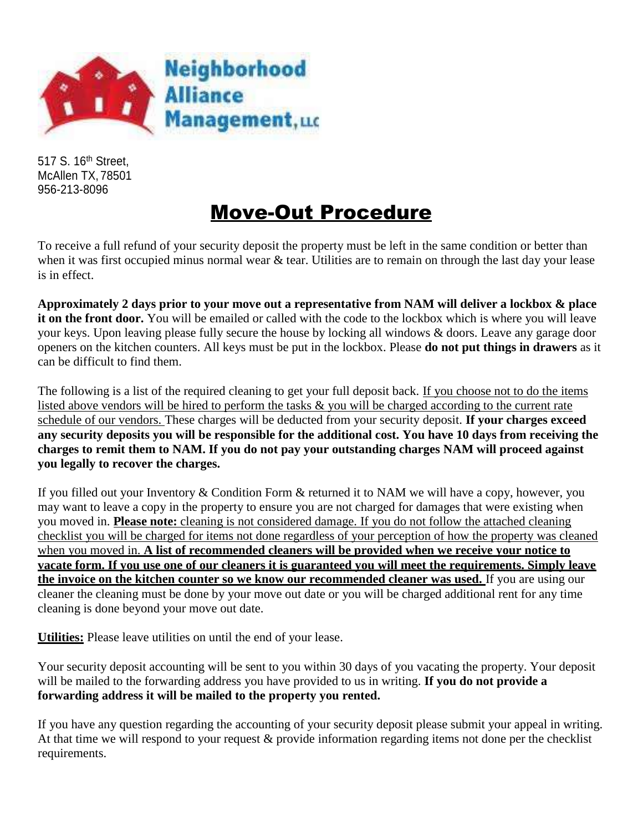

517 S. 16<sup>th</sup> Street, McAllen TX, 78501 956-213-8096

# Move-Out Procedure

To receive a full refund of your security deposit the property must be left in the same condition or better than when it was first occupied minus normal wear & tear. Utilities are to remain on through the last day your lease is in effect.

**Approximately 2 days prior to your move out a representative from NAM will deliver a lockbox & place it on the front door.** You will be emailed or called with the code to the lockbox which is where you will leave your keys. Upon leaving please fully secure the house by locking all windows & doors. Leave any garage door openers on the kitchen counters. All keys must be put in the lockbox. Please **do not put things in drawers** as it can be difficult to find them.

The following is a list of the required cleaning to get your full deposit back. If you choose not to do the items listed above vendors will be hired to perform the tasks & you will be charged according to the current rate schedule of our vendors. These charges will be deducted from your security deposit. **If your charges exceed any security deposits you will be responsible for the additional cost. You have 10 days from receiving the charges to remit them to NAM. If you do not pay your outstanding charges NAM will proceed against you legally to recover the charges.**

If you filled out your Inventory & Condition Form & returned it to NAM we will have a copy, however, you may want to leave a copy in the property to ensure you are not charged for damages that were existing when you moved in. **Please note:** cleaning is not considered damage. If you do not follow the attached cleaning checklist you will be charged for items not done regardless of your perception of how the property was cleaned when you moved in. **A list of recommended cleaners will be provided when we receive your notice to vacate form. If you use one of our cleaners it is guaranteed you will meet the requirements. Simply leave the invoice on the kitchen counter so we know our recommended cleaner was used.** If you are using our cleaner the cleaning must be done by your move out date or you will be charged additional rent for any time cleaning is done beyond your move out date.

**Utilities:** Please leave utilities on until the end of your lease.

Your security deposit accounting will be sent to you within 30 days of you vacating the property. Your deposit will be mailed to the forwarding address you have provided to us in writing. **If you do not provide a forwarding address it will be mailed to the property you rented.**

If you have any question regarding the accounting of your security deposit please submit your appeal in writing. At that time we will respond to your request & provide information regarding items not done per the checklist requirements.